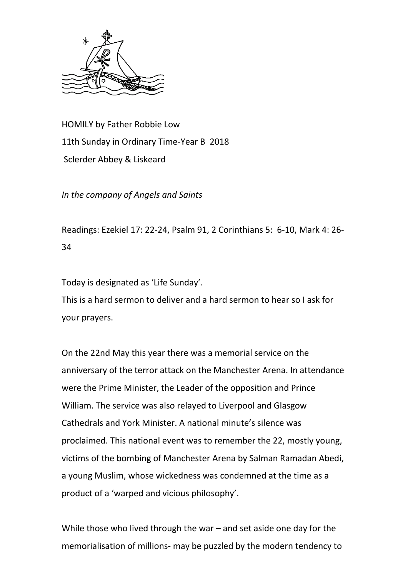

HOMILY by Father Robbie Low 11th Sunday in Ordinary Time-Year B 2018 Sclerder Abbey & Liskeard

*In the company of Angels and Saints*

Readings: Ezekiel 17: 22-24, Psalm 91, 2 Corinthians 5: 6-10, Mark 4: 26- 34

Today is designated as 'Life Sunday'.

This is a hard sermon to deliver and a hard sermon to hear so I ask for your prayers.

On the 22nd May this year there was a memorial service on the anniversary of the terror attack on the Manchester Arena. In attendance were the Prime Minister, the Leader of the opposition and Prince William. The service was also relayed to Liverpool and Glasgow Cathedrals and York Minister. A national minute's silence was proclaimed. This national event was to remember the 22, mostly young, victims of the bombing of Manchester Arena by Salman Ramadan Abedi, a young Muslim, whose wickedness was condemned at the time as a product of a 'warped and vicious philosophy'.

While those who lived through the war – and set aside one day for the memorialisation of millions- may be puzzled by the modern tendency to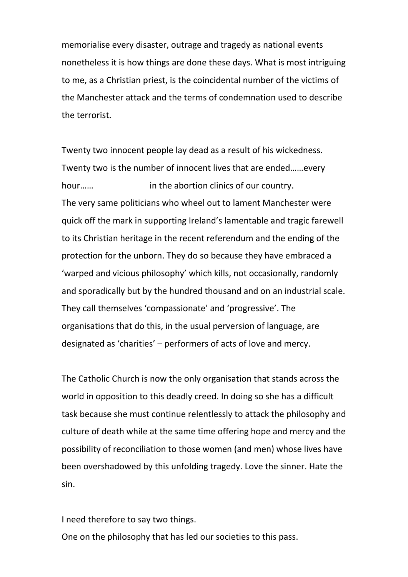memorialise every disaster, outrage and tragedy as national events nonetheless it is how things are done these days. What is most intriguing to me, as a Christian priest, is the coincidental number of the victims of the Manchester attack and the terms of condemnation used to describe the terrorist.

Twenty two innocent people lay dead as a result of his wickedness. Twenty two is the number of innocent lives that are ended……every hour…… **in the abortion clinics of our country.** The very same politicians who wheel out to lament Manchester were quick off the mark in supporting Ireland's lamentable and tragic farewell to its Christian heritage in the recent referendum and the ending of the protection for the unborn. They do so because they have embraced a 'warped and vicious philosophy' which kills, not occasionally, randomly and sporadically but by the hundred thousand and on an industrial scale. They call themselves 'compassionate' and 'progressive'. The organisations that do this, in the usual perversion of language, are designated as 'charities' – performers of acts of love and mercy.

The Catholic Church is now the only organisation that stands across the world in opposition to this deadly creed. In doing so she has a difficult task because she must continue relentlessly to attack the philosophy and culture of death while at the same time offering hope and mercy and the possibility of reconciliation to those women (and men) whose lives have been overshadowed by this unfolding tragedy. Love the sinner. Hate the sin.

I need therefore to say two things.

One on the philosophy that has led our societies to this pass.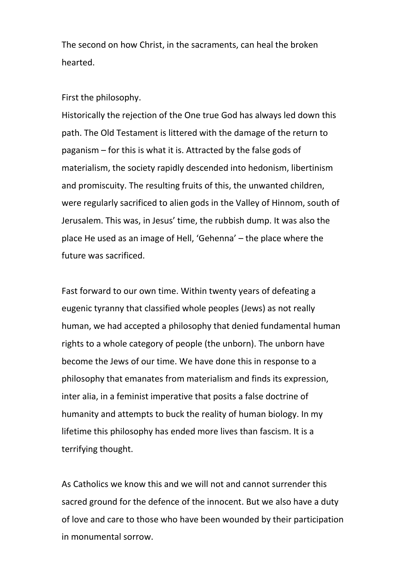The second on how Christ, in the sacraments, can heal the broken hearted.

## First the philosophy.

Historically the rejection of the One true God has always led down this path. The Old Testament is littered with the damage of the return to paganism – for this is what it is. Attracted by the false gods of materialism, the society rapidly descended into hedonism, libertinism and promiscuity. The resulting fruits of this, the unwanted children, were regularly sacrificed to alien gods in the Valley of Hinnom, south of Jerusalem. This was, in Jesus' time, the rubbish dump. It was also the place He used as an image of Hell, 'Gehenna' – the place where the future was sacrificed.

Fast forward to our own time. Within twenty years of defeating a eugenic tyranny that classified whole peoples (Jews) as not really human, we had accepted a philosophy that denied fundamental human rights to a whole category of people (the unborn). The unborn have become the Jews of our time. We have done this in response to a philosophy that emanates from materialism and finds its expression, inter alia, in a feminist imperative that posits a false doctrine of humanity and attempts to buck the reality of human biology. In my lifetime this philosophy has ended more lives than fascism. It is a terrifying thought.

As Catholics we know this and we will not and cannot surrender this sacred ground for the defence of the innocent. But we also have a duty of love and care to those who have been wounded by their participation in monumental sorrow.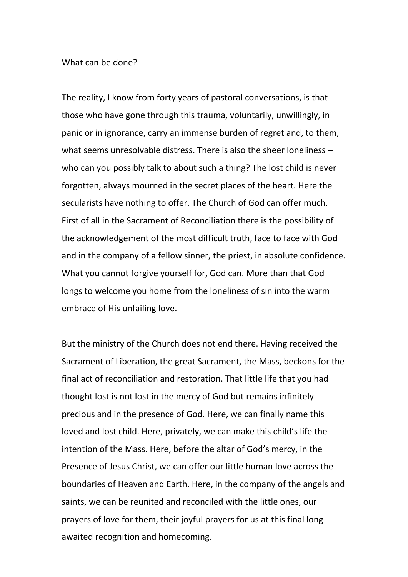## What can be done?

The reality, I know from forty years of pastoral conversations, is that those who have gone through this trauma, voluntarily, unwillingly, in panic or in ignorance, carry an immense burden of regret and, to them, what seems unresolvable distress. There is also the sheer loneliness – who can you possibly talk to about such a thing? The lost child is never forgotten, always mourned in the secret places of the heart. Here the secularists have nothing to offer. The Church of God can offer much. First of all in the Sacrament of Reconciliation there is the possibility of the acknowledgement of the most difficult truth, face to face with God and in the company of a fellow sinner, the priest, in absolute confidence. What you cannot forgive yourself for, God can. More than that God longs to welcome you home from the loneliness of sin into the warm embrace of His unfailing love.

But the ministry of the Church does not end there. Having received the Sacrament of Liberation, the great Sacrament, the Mass, beckons for the final act of reconciliation and restoration. That little life that you had thought lost is not lost in the mercy of God but remains infinitely precious and in the presence of God. Here, we can finally name this loved and lost child. Here, privately, we can make this child's life the intention of the Mass. Here, before the altar of God's mercy, in the Presence of Jesus Christ, we can offer our little human love across the boundaries of Heaven and Earth. Here, in the company of the angels and saints, we can be reunited and reconciled with the little ones, our prayers of love for them, their joyful prayers for us at this final long awaited recognition and homecoming.